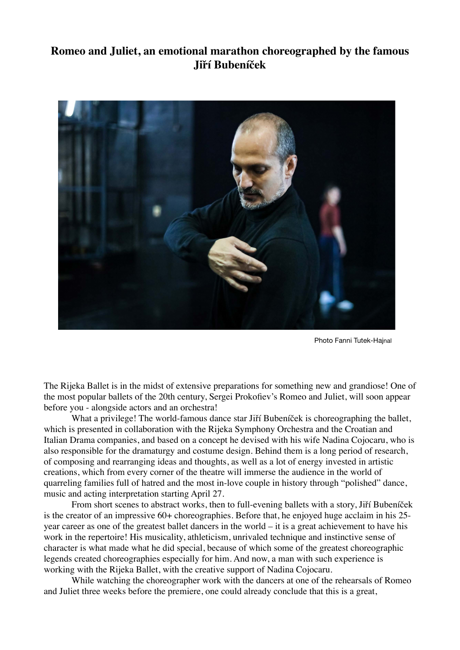## **Romeo and Juliet, an emotional marathon choreographed by the famous Jiří Bubeníček**



Photo Fanni Tutek-Hajnal

The Rijeka Ballet is in the midst of extensive preparations for something new and grandiose! One of the most popular ballets of the 20th century, Sergei Prokofiev's Romeo and Juliet, will soon appear before you - alongside actors and an orchestra!

What a privilege! The world-famous dance star Jiří Bubeníček is choreographing the ballet, which is presented in collaboration with the Rijeka Symphony Orchestra and the Croatian and Italian Drama companies, and based on a concept he devised with his wife Nadina Cojocaru, who is also responsible for the dramaturgy and costume design. Behind them is a long period of research, of composing and rearranging ideas and thoughts, as well as a lot of energy invested in artistic creations, which from every corner of the theatre will immerse the audience in the world of quarreling families full of hatred and the most in-love couple in history through "polished" dance, music and acting interpretation starting April 27.

From short scenes to abstract works, then to full-evening ballets with a story, Jiří Bubeníček is the creator of an impressive 60+ choreographies. Before that, he enjoyed huge acclaim in his 25 year career as one of the greatest ballet dancers in the world – it is a great achievement to have his work in the repertoire! His musicality, athleticism, unrivaled technique and instinctive sense of character is what made what he did special, because of which some of the greatest choreographic legends created choreographies especially for him. And now, a man with such experience is working with the Rijeka Ballet, with the creative support of Nadina Cojocaru.

While watching the choreographer work with the dancers at one of the rehearsals of Romeo and Juliet three weeks before the premiere, one could already conclude that this is a great,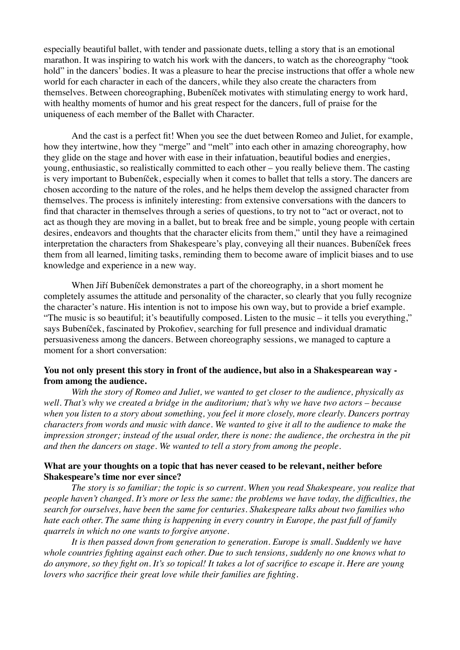especially beautiful ballet, with tender and passionate duets, telling a story that is an emotional marathon. It was inspiring to watch his work with the dancers, to watch as the choreography "took hold" in the dancers' bodies. It was a pleasure to hear the precise instructions that offer a whole new world for each character in each of the dancers, while they also create the characters from themselves. Between choreographing, Bubeníček motivates with stimulating energy to work hard, with healthy moments of humor and his great respect for the dancers, full of praise for the uniqueness of each member of the Ballet with Character.

And the cast is a perfect fit! When you see the duet between Romeo and Juliet, for example, how they intertwine, how they "merge" and "melt" into each other in amazing choreography, how they glide on the stage and hover with ease in their infatuation, beautiful bodies and energies, young, enthusiastic, so realistically committed to each other – you really believe them. The casting is very important to Bubeníček, especially when it comes to ballet that tells a story. The dancers are chosen according to the nature of the roles, and he helps them develop the assigned character from themselves. The process is infinitely interesting: from extensive conversations with the dancers to find that character in themselves through a series of questions, to try not to "act or overact, not to act as though they are moving in a ballet, but to break free and be simple, young people with certain desires, endeavors and thoughts that the character elicits from them," until they have a reimagined interpretation the characters from Shakespeare's play, conveying all their nuances. Bubeníček frees them from all learned, limiting tasks, reminding them to become aware of implicit biases and to use knowledge and experience in a new way.

When Jiří Bubeníček demonstrates a part of the choreography, in a short moment he completely assumes the attitude and personality of the character, so clearly that you fully recognize the character's nature. His intention is not to impose his own way, but to provide a brief example. "The music is so beautiful; it's beautifully composed. Listen to the music – it tells you everything," says Bubeníček, fascinated by Prokofiev, searching for full presence and individual dramatic persuasiveness among the dancers. Between choreography sessions, we managed to capture a moment for a short conversation:

## **You not only present this story in front of the audience, but also in a Shakespearean way from among the audience.**

*With the story of Romeo and Juliet, we wanted to get closer to the audience, physically as well. That's why we created a bridge in the auditorium; that's why we have two actors – because when you listen to a story about something, you feel it more closely, more clearly. Dancers portray characters from words and music with dance. We wanted to give it all to the audience to make the impression stronger; instead of the usual order, there is none: the audience, the orchestra in the pit and then the dancers on stage. We wanted to tell a story from among the people.* 

## **What are your thoughts on a topic that has never ceased to be relevant, neither before Shakespeare's time nor ever since?**

*The story is so familiar; the topic is so current. When you read Shakespeare, you realize that people haven't changed. It's more or less the same: the problems we have today, the difficulties, the search for ourselves, have been the same for centuries. Shakespeare talks about two families who hate each other. The same thing is happening in every country in Europe, the past full of family quarrels in which no one wants to forgive anyone.*

*It is then passed down from generation to generation. Europe is small. Suddenly we have whole countries fighting against each other. Due to such tensions, suddenly no one knows what to do anymore, so they fight on. It's so topical! It takes a lot of sacrifice to escape it. Here are young lovers who sacrifice their great love while their families are fighting.*